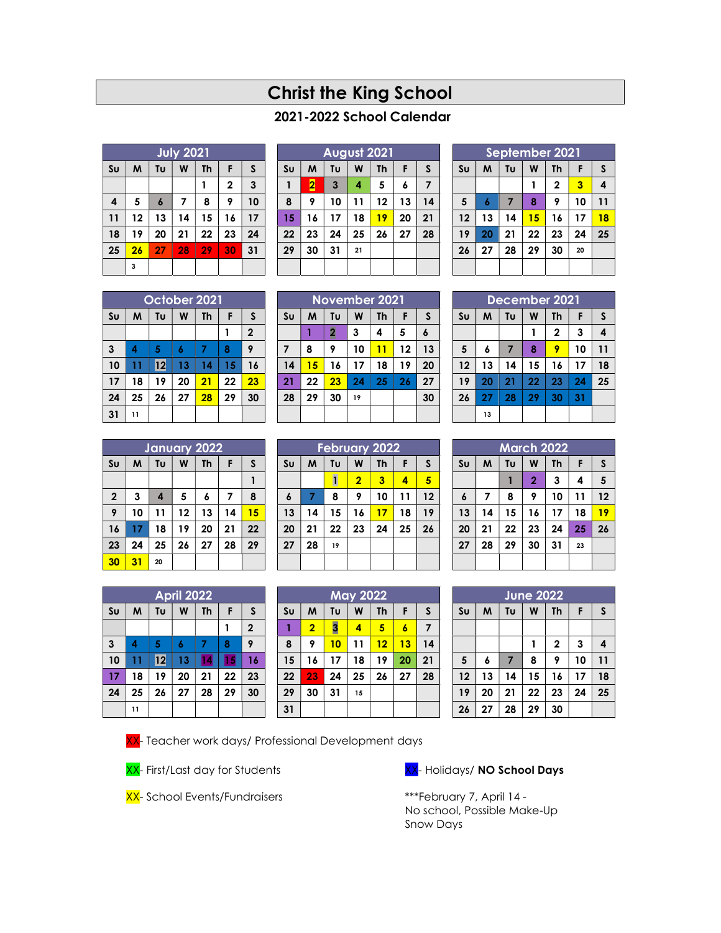# Christ the King School

# 2021-2022 School Calendar

|                | <b>July 2021</b> |                  |    |           |              |    |  |  |  |
|----------------|------------------|------------------|----|-----------|--------------|----|--|--|--|
| S <sub>U</sub> | M                | Tυ               | W  | <b>Th</b> | F            | S  |  |  |  |
|                |                  |                  |    |           | $\mathbf{2}$ | 3  |  |  |  |
| 4              | 5                | $\boldsymbol{6}$ | 7  | 8         | 9            | 10 |  |  |  |
| 11             | 12               | 13               | 14 | 15        | 16           | 17 |  |  |  |
| 18             | 19               | 20               | 21 | 22        | 23           | 24 |  |  |  |
| 25             | 26               | 27               | 28 | 29        | 30           | 31 |  |  |  |
|                | 3                |                  |    |           |              |    |  |  |  |

|                | August 2021 |              |    |           |    |    |  |  |  |
|----------------|-------------|--------------|----|-----------|----|----|--|--|--|
| S <sub>U</sub> | M           | Tυ           | W  | <b>Th</b> | F  | S  |  |  |  |
|                | 2           | $\mathbf{3}$ | 4  | 5         | 6  | 7  |  |  |  |
| 8              | 9           | 10           | 11 | 12        | 13 | 14 |  |  |  |
| 15             | 16          | 17           | 18 | 19        | 20 | 21 |  |  |  |
| 22             | 23          | 24           | 25 | 26        | 27 | 28 |  |  |  |
| 29             | 30          | 31           | 21 |           |    |    |  |  |  |
|                |             |              |    |           |    |    |  |  |  |

|                | September 2021 |    |    |              |    |    |  |  |  |
|----------------|----------------|----|----|--------------|----|----|--|--|--|
| S <sub>U</sub> | M              | Tυ | W  | Th           | F  | S  |  |  |  |
|                |                |    |    | $\mathbf{2}$ | 3  | 4  |  |  |  |
| 5              | 6              | 7  | 8  | 9            | 10 | 11 |  |  |  |
| 12             | 13             | 14 | 15 | 16           | 17 | 18 |  |  |  |
| 19             | 20             | 21 | 22 | 23           | 24 | 25 |  |  |  |
| 26             | 27             | 28 | 29 | 30           | 20 |    |  |  |  |
|                |                |    |    |              |    |    |  |  |  |

| October 2021   |    |    |    |    |    |              |  |  |
|----------------|----|----|----|----|----|--------------|--|--|
| S <sub>U</sub> | M  | Tυ | W  | Th | F  | S            |  |  |
|                |    |    |    |    | 1  | $\mathbf{2}$ |  |  |
| 3              | 4  | 5  | 6  | 7  | 8  | 9            |  |  |
| 10             | 11 | 12 | 13 | 14 | 15 | 16           |  |  |
| 17             | 18 | 19 | 20 | 21 | 22 | 23           |  |  |
| 24             | 25 | 26 | 27 | 28 | 29 | 30           |  |  |
| 31             | 11 |    |    |    |    |              |  |  |

| November 2021  |    |                         |    |           |    |    |  |
|----------------|----|-------------------------|----|-----------|----|----|--|
| S <sub>U</sub> | M  | Tυ                      | W  | <b>Th</b> | F  | S  |  |
|                |    | $\overline{\mathbf{c}}$ | 3  | 4         | 5  | 6  |  |
| $\overline{7}$ | 8  | 9                       | 10 | 11        | 12 | 13 |  |
| 14             | 15 | 16                      | 17 | 18        | 19 | 20 |  |
| 21             | 22 | 23                      | 24 | 25        | 26 | 27 |  |
| 28             | 29 | 30                      | 19 |           |    | 30 |  |
|                |    |                         |    |           |    |    |  |

| December 2021  |    |                |    |             |    |    |  |  |
|----------------|----|----------------|----|-------------|----|----|--|--|
| S <sub>U</sub> | M  | Tυ             | W  | Th          | F  | S  |  |  |
|                |    |                |    | $\mathbf 2$ | 3  | 4  |  |  |
| $\sqrt{5}$     | 6  | $\overline{7}$ | 8  | 9           | 10 | 11 |  |  |
| 12             | 13 | 14             | 15 | 16          | 17 | 18 |  |  |
| 19             | 20 | 21             | 22 | 23          | 24 | 25 |  |  |
| 26             | 27 | 28             | 29 | 30          | 31 |    |  |  |
|                | 13 |                |    |             |    |    |  |  |

| <b>January 2022</b> |    |    |    |           |    |    |  |  |
|---------------------|----|----|----|-----------|----|----|--|--|
| S <sub>U</sub>      | M  | Tυ | W  | <b>Th</b> | F  | S  |  |  |
|                     |    |    |    |           |    |    |  |  |
| $\overline{2}$      | 3  | 4  | 5  | 6         | 7  | 8  |  |  |
| 9                   | 10 | 11 | 12 | 13        | 14 | 15 |  |  |
| 16                  | 17 | 18 | 19 | 20        | 21 | 22 |  |  |
| 23                  | 24 | 25 | 26 | 27        | 28 | 29 |  |  |
| 30                  | 31 | 20 |    |           |    |    |  |  |

|                  | <b>February 2022</b> |    |                |           |    |    |  |  |  |
|------------------|----------------------|----|----------------|-----------|----|----|--|--|--|
| S <sub>U</sub>   | M                    | Tυ | W              | <b>Th</b> | F  | S  |  |  |  |
|                  |                      |    | $\overline{2}$ | 3         | 4  | 5  |  |  |  |
| $\boldsymbol{6}$ | 7                    | 8  | 9              | 10        | 11 | 12 |  |  |  |
| 13               | 14                   | 15 | 16             | 17        | 18 | 19 |  |  |  |
| 20               | 21                   | 22 | 23             | 24        | 25 | 26 |  |  |  |
| 27               | 28                   | 19 |                |           |    |    |  |  |  |
|                  |                      |    |                |           |    |    |  |  |  |

| <b>March 2022</b> |    |    |                |    |    |              |  |  |
|-------------------|----|----|----------------|----|----|--------------|--|--|
| Su                | M  | Tυ | W              | Th | F  | $\mathsf{s}$ |  |  |
|                   |    |    | $\overline{2}$ | 3  | 4  | 5            |  |  |
| $\boldsymbol{6}$  | 7  | 8  | 9              | 10 | 11 | 12           |  |  |
| 13                | 14 | 15 | 16             | 17 | 18 | 19           |  |  |
| 20                | 21 | 22 | 23             | 24 | 25 | 26           |  |  |
| 27                | 28 | 29 | 30             | 31 | 23 |              |  |  |
|                   |    |    |                |    |    |              |  |  |

|                | <b>April 2022</b> |    |    |    |    |                |  |  |  |
|----------------|-------------------|----|----|----|----|----------------|--|--|--|
| S <sub>U</sub> | M                 | Tυ | W  | Th | F  | S              |  |  |  |
|                |                   |    |    |    |    | $\overline{2}$ |  |  |  |
| 3              | 4                 | 5  | 6  | 7  | 8  | 9              |  |  |  |
| 10             | 11                | 12 | 13 | 14 | 15 | 16             |  |  |  |
| 17             | 18                | 19 | 20 | 21 | 22 | 23             |  |  |  |
| 24             | 25                | 26 | 27 | 28 | 29 | 30             |  |  |  |
|                | 11                |    |    |    |    |                |  |  |  |

|                | <b>May 2022</b> |    |    |           |    |    |  |  |  |
|----------------|-----------------|----|----|-----------|----|----|--|--|--|
| S <sub>U</sub> | M               | Tυ | W  | <b>Th</b> | F  | S  |  |  |  |
| 1              | $\overline{2}$  | 3  | 4  | 5         | 6  | 7  |  |  |  |
| 8              | 9               | 10 | 11 | 12        | 13 | 14 |  |  |  |
| 15             | 16              | 17 | 18 | 19        | 20 | 21 |  |  |  |
| 22             | 23              | 24 | 25 | 26        | 27 | 28 |  |  |  |
| 29             | 30              | 31 | 15 |           |    |    |  |  |  |
| 31             |                 |    |    |           |    |    |  |  |  |

| <b>June 2022</b> |                                     |                |    |              |    |                         |  |  |
|------------------|-------------------------------------|----------------|----|--------------|----|-------------------------|--|--|
| S <sub>U</sub>   | Tυ<br>S<br>M<br>F<br>W<br><b>Th</b> |                |    |              |    |                         |  |  |
|                  |                                     |                |    |              |    |                         |  |  |
|                  |                                     |                |    | $\mathbf{2}$ | 3  | $\overline{\mathbf{4}}$ |  |  |
| 5                | 6                                   | $\overline{7}$ | 8  | 9            | 10 | 11                      |  |  |
| 12               | 13                                  | 14             | 15 | 16           | 17 | 18                      |  |  |
| 19               | 20                                  | 21             | 22 | 23           | 24 | 25                      |  |  |
| 26               | 27                                  | 28             | 29 | 30           |    |                         |  |  |

XX- Teacher work days/ Professional Development days





 No school, Possible Make-Up Snow Days